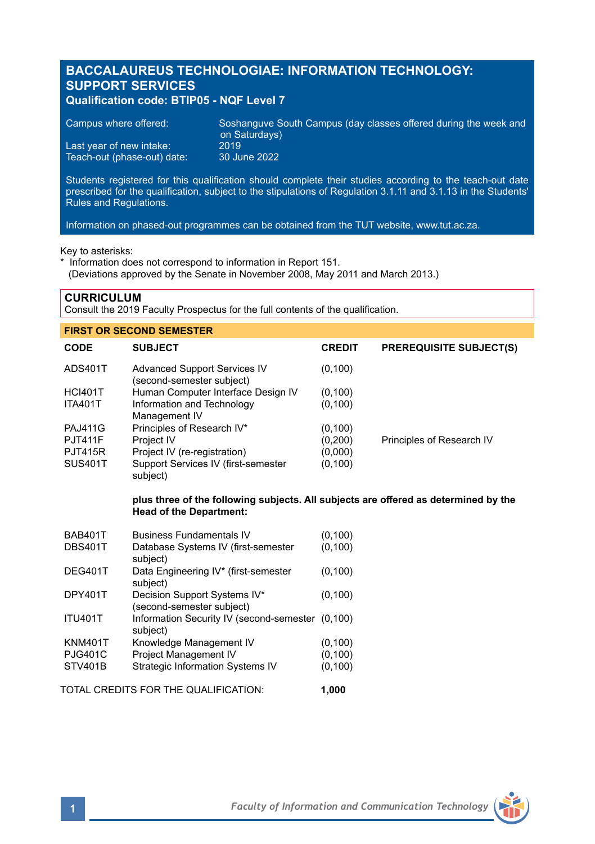# **BACCALAUREUS TECHNOLOGIAE: INFORMATION TECHNOLOGY: SUPPORT SERVICES**

# **Qualification code: BTIP05 - NQF Level 7**

| Campus where offered:       | Soshanguve South Campus (day classes offered during the week and '<br>on Saturdays) |
|-----------------------------|-------------------------------------------------------------------------------------|
| Last year of new intake:    | 2019'                                                                               |
| Teach-out (phase-out) date: | 30 June 2022                                                                        |

Students registered for this qualification should complete their studies according to the teach-out date prescribed for the qualification, subject to the stipulations of Regulation 3.1.11 and 3.1.13 in the Students' Rules and Regulations.

Information on phased-out programmes can be obtained from the TUT website, www.tut.ac.za.

Key to asterisks:

\* Information does not correspond to information in Report 151. (Deviations approved by the Senate in November 2008, May 2011 and March 2013.)

**CURRICULUM**

Consult the 2019 Faculty Prospectus for the full contents of the qualification.

| <b>FIRST OR SECOND SEMESTER</b> |                                                                                                                       |               |                                |  |
|---------------------------------|-----------------------------------------------------------------------------------------------------------------------|---------------|--------------------------------|--|
| <b>CODE</b>                     | <b>SUBJECT</b>                                                                                                        | <b>CREDIT</b> | <b>PREREQUISITE SUBJECT(S)</b> |  |
| <b>ADS401T</b>                  | <b>Advanced Support Services IV</b><br>(second-semester subject)                                                      | (0, 100)      |                                |  |
| <b>HCI401T</b>                  | Human Computer Interface Design IV                                                                                    | (0, 100)      |                                |  |
| <b>ITA401T</b>                  | Information and Technology<br>Management IV                                                                           | (0, 100)      |                                |  |
| <b>PAJ411G</b>                  | Principles of Research IV*                                                                                            | (0, 100)      |                                |  |
| <b>PJT411F</b>                  | Project IV                                                                                                            | (0,200)       | Principles of Research IV      |  |
| <b>PJT415R</b>                  | Project IV (re-registration)                                                                                          | (0,000)       |                                |  |
| <b>SUS401T</b>                  | Support Services IV (first-semester<br>subject)                                                                       | (0, 100)      |                                |  |
|                                 | plus three of the following subjects. All subjects are offered as determined by the<br><b>Head of the Department:</b> |               |                                |  |
| <b>BAB401T</b>                  | <b>Business Fundamentals IV</b>                                                                                       | (0, 100)      |                                |  |
| <b>DBS401T</b>                  | Database Systems IV (first-semester<br>subject)                                                                       | (0, 100)      |                                |  |
| DEG401T                         | Data Engineering IV* (first-semester<br>subject)                                                                      | (0, 100)      |                                |  |
| DPY401T                         | Decision Support Systems IV*<br>(second-semester subject)                                                             | (0, 100)      |                                |  |
| <b>ITU401T</b>                  | Information Security IV (second-semester (0,100)<br>subject)                                                          |               |                                |  |
| <b>KNM401T</b>                  | Knowledge Management IV                                                                                               | (0, 100)      |                                |  |
| <b>PJG401C</b>                  | Project Management IV                                                                                                 | (0, 100)      |                                |  |
| STV401B                         | Strategic Information Systems IV                                                                                      | (0, 100)      |                                |  |

TOTAL CREDITS FOR THE QUALIFICATION: **1,000**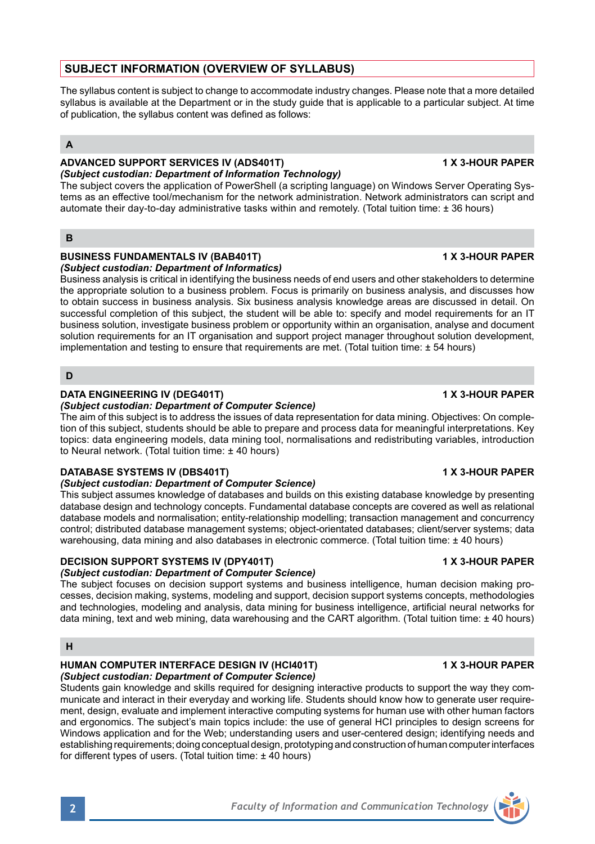# **SUBJECT INFORMATION (OVERVIEW OF SYLLABUS)**

The syllabus content is subject to change to accommodate industry changes. Please note that a more detailed syllabus is available at the Department or in the study quide that is applicable to a particular subject. At time of publication, the syllabus content was defined as follows:

### **A**

#### **ADVANCED SUPPORT SERVICES IV (ADS401T) 1 X 3-HOUR PAPER** *(Subject custodian: Department of Information Technology)*

The subject covers the application of PowerShell (a scripting language) on Windows Server Operating Systems as an effective tool/mechanism for the network administration. Network administrators can script and automate their day-to-day administrative tasks within and remotely. (Total tuition time: ± 36 hours)

#### **B**

#### **BUSINESS FUNDAMENTALS IV (BAB401T) 1 X 3-HOUR PAPER** *(Subject custodian: Department of Informatics)*

Business analysis is critical in identifying the business needs of end users and other stakeholders to determine the appropriate solution to a business problem. Focus is primarily on business analysis, and discusses how to obtain success in business analysis. Six business analysis knowledge areas are discussed in detail. On successful completion of this subject, the student will be able to: specify and model requirements for an IT business solution, investigate business problem or opportunity within an organisation, analyse and document solution requirements for an IT organisation and support project manager throughout solution development, implementation and testing to ensure that requirements are met. (Total tuition time: ± 54 hours)

## **D**

#### **DATA ENGINEERING IV (DEG401T) 1 X 3-HOUR PAPER**

### *(Subject custodian: Department of Computer Science)*

The aim of this subject is to address the issues of data representation for data mining. Objectives: On completion of this subject, students should be able to prepare and process data for meaningful interpretations. Key topics: data engineering models, data mining tool, normalisations and redistributing variables, introduction to Neural network. (Total tuition time: ± 40 hours)

#### **DATABASE SYSTEMS IV (DBS401T) 1 X 3-HOUR PAPER**

#### *(Subject custodian: Department of Computer Science)*

This subject assumes knowledge of databases and builds on this existing database knowledge by presenting database design and technology concepts. Fundamental database concepts are covered as well as relational database models and normalisation; entity-relationship modelling; transaction management and concurrency control; distributed database management systems; object-orientated databases; client/server systems; data warehousing, data mining and also databases in electronic commerce. (Total tuition time: ± 40 hours)

#### **DECISION SUPPORT SYSTEMS IV (DPY401T) 1 X 3-HOUR PAPER** *(Subject custodian: Department of Computer Science)*

The subject focuses on decision support systems and business intelligence, human decision making processes, decision making, systems, modeling and support, decision support systems concepts, methodologies and technologies, modeling and analysis, data mining for business intelligence, artificial neural networks for data mining, text and web mining, data warehousing and the CART algorithm. (Total tuition time: ± 40 hours)

#### **H**

#### **HUMAN COMPUTER INTERFACE DESIGN IV (HCI401T) 1 X 3-HOUR PAPER** *(Subject custodian: Department of Computer Science)*

Students gain knowledge and skills required for designing interactive products to support the way they communicate and interact in their everyday and working life. Students should know how to generate user requirement, design, evaluate and implement interactive computing systems for human use with other human factors and ergonomics. The subject's main topics include: the use of general HCI principles to design screens for Windows application and for the Web; understanding users and user-centered design; identifying needs and establishing requirements; doing conceptual design, prototyping and construction of human computer interfaces for different types of users. (Total tuition time: ± 40 hours)

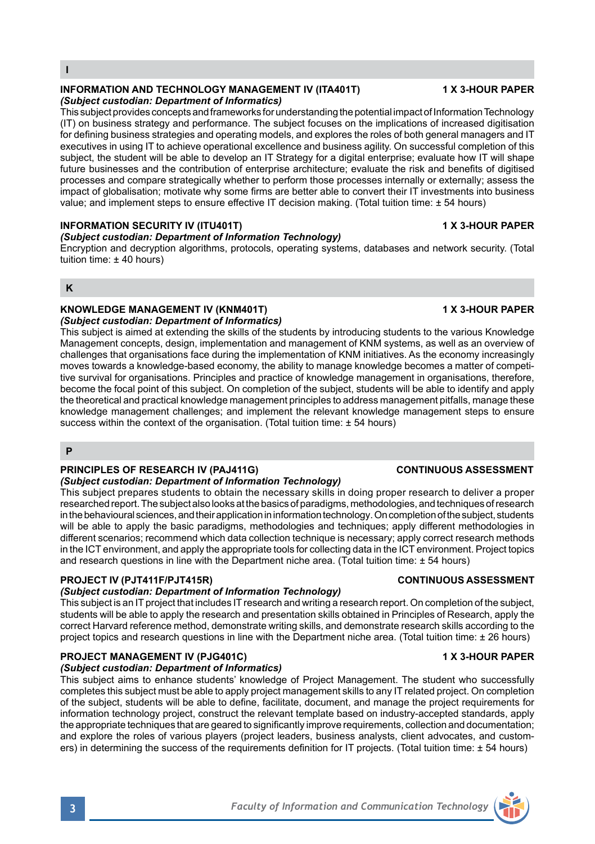#### **INFORMATION AND TECHNOLOGY MANAGEMENT IV (ITA401T) 1 X 3-HOUR PAPER** *(Subject custodian: Department of Informatics)*

This subject provides concepts and frameworks for understanding the potential impact of Information Technology (IT) on business strategy and performance. The subject focuses on the implications of increased digitisation for defining business strategies and operating models, and explores the roles of both general managers and IT executives in using IT to achieve operational excellence and business agility. On successful completion of this subject, the student will be able to develop an IT Strategy for a digital enterprise; evaluate how IT will shape future businesses and the contribution of enterprise architecture; evaluate the risk and benefits of digitised processes and compare strategically whether to perform those processes internally or externally; assess the impact of globalisation; motivate why some firms are better able to convert their IT investments into business value; and implement steps to ensure effective IT decision making. (Total tuition time: ± 54 hours)

### **INFORMATION SECURITY IV (ITU401T) 1 X 3-HOUR PAPER**

### *(Subject custodian: Department of Information Technology)*

Encryption and decryption algorithms, protocols, operating systems, databases and network security. (Total tuition time: ± 40 hours)

### **K**

#### **KNOWLEDGE MANAGEMENT IV (KNM401T) 1 X 3-HOUR PAPER** *(Subject custodian: Department of Informatics)*

This subject is aimed at extending the skills of the students by introducing students to the various Knowledge Management concepts, design, implementation and management of KNM systems, as well as an overview of challenges that organisations face during the implementation of KNM initiatives. As the economy increasingly moves towards a knowledge-based economy, the ability to manage knowledge becomes a matter of competitive survival for organisations. Principles and practice of knowledge management in organisations, therefore, become the focal point of this subject. On completion of the subject, students will be able to identify and apply the theoretical and practical knowledge management principles to address management pitfalls, manage these knowledge management challenges; and implement the relevant knowledge management steps to ensure success within the context of the organisation. (Total tuition time: ± 54 hours)

#### **P**

## **PRINCIPLES OF RESEARCH IV (PAJ411G) CONTINUOUS ASSESSMENT**

#### *(Subject custodian: Department of Information Technology)*

This subject prepares students to obtain the necessary skills in doing proper research to deliver a proper researched report. The subject also looks at the basics of paradigms, methodologies, and techniques of research in the behavioural sciences, and their application in information technology. On completion of the subject, students will be able to apply the basic paradigms, methodologies and techniques; apply different methodologies in different scenarios; recommend which data collection technique is necessary; apply correct research methods in the ICT environment, and apply the appropriate tools for collecting data in the ICT environment. Project topics and research questions in line with the Department niche area. (Total tuition time: ± 54 hours)

## **PROJECT IV (PJT411F/PJT415R) CONTINUOUS ASSESSMENT**

# *(Subject custodian: Department of Information Technology)*

This subject is an IT project that includes IT research and writing a research report. On completion of the subject, students will be able to apply the research and presentation skills obtained in Principles of Research, apply the correct Harvard reference method, demonstrate writing skills, and demonstrate research skills according to the project topics and research questions in line with the Department niche area. (Total tuition time: ± 26 hours)

# **PROJECT MANAGEMENT IV (PJG401C) 1 X 3-HOUR PAPER**

# *(Subject custodian: Department of Informatics)*

This subject aims to enhance students' knowledge of Project Management. The student who successfully completes this subject must be able to apply project management skills to any IT related project. On completion of the subject, students will be able to define, facilitate, document, and manage the project requirements for information technology project, construct the relevant template based on industry-accepted standards, apply the appropriate techniques that are geared to significantly improve requirements, collection and documentation; and explore the roles of various players (project leaders, business analysts, client advocates, and customers) in determining the success of the requirements definition for IT projects. (Total tuition time: ± 54 hours)